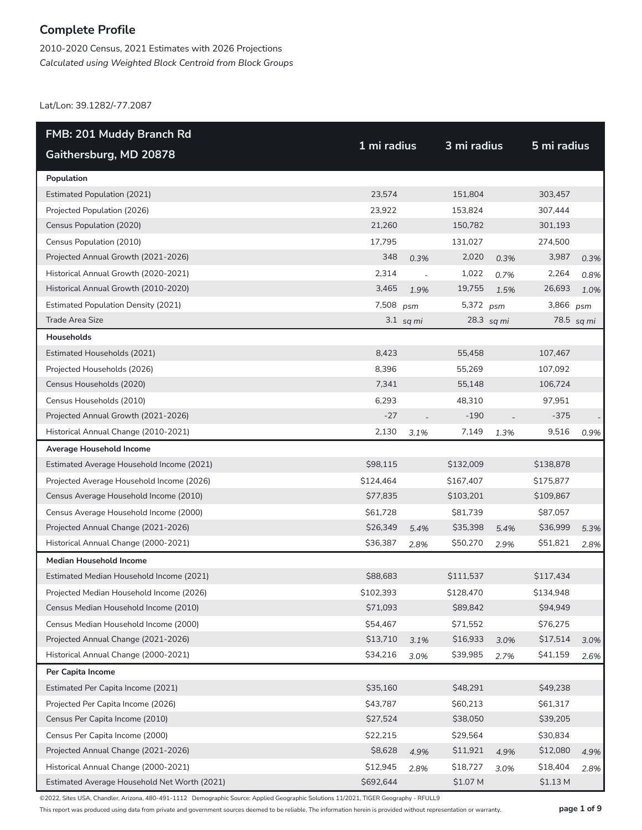2010-2020 Census, 2021 Estimates with 2026 Projections *Calculated using Weighted Block Centroid from Block Groups*

Lat/Lon: 39.1282/-77.2087

| FMB: 201 Muddy Branch Rd                     |             |             |             |            |             |            |
|----------------------------------------------|-------------|-------------|-------------|------------|-------------|------------|
| Gaithersburg, MD 20878                       | 1 mi radius |             | 3 mi radius |            | 5 mi radius |            |
| Population                                   |             |             |             |            |             |            |
| <b>Estimated Population (2021)</b>           | 23,574      |             | 151,804     |            | 303,457     |            |
| Projected Population (2026)                  | 23,922      |             | 153,824     |            | 307,444     |            |
| Census Population (2020)                     | 21,260      |             | 150,782     |            | 301,193     |            |
| Census Population (2010)                     | 17,795      |             | 131,027     |            | 274,500     |            |
| Projected Annual Growth (2021-2026)          | 348         | 0.3%        | 2,020       | 0.3%       | 3,987       | 0.3%       |
| Historical Annual Growth (2020-2021)         | 2,314       |             | 1,022       | 0.7%       | 2,264       | 0.8%       |
| Historical Annual Growth (2010-2020)         | 3,465       | 1.9%        | 19,755      | 1.5%       | 26,693      | 1.0%       |
| <b>Estimated Population Density (2021)</b>   | 7,508       | psm         | 5,372 psm   |            | 3,866       | psm        |
| Trade Area Size                              |             | $3.1$ sq mi |             | 28.3 sq mi |             | 78.5 sq mi |
| Households                                   |             |             |             |            |             |            |
| Estimated Households (2021)                  | 8,423       |             | 55,458      |            | 107,467     |            |
| Projected Households (2026)                  | 8,396       |             | 55,269      |            | 107,092     |            |
| Census Households (2020)                     | 7,341       |             | 55,148      |            | 106,724     |            |
| Census Households (2010)                     | 6,293       |             | 48,310      |            | 97,951      |            |
| Projected Annual Growth (2021-2026)          | $-27$       |             | $-190$      |            | $-375$      |            |
| Historical Annual Change (2010-2021)         | 2,130       | 3.1%        | 7,149       | 1.3%       | 9,516       | 0.9%       |
| Average Household Income                     |             |             |             |            |             |            |
| Estimated Average Household Income (2021)    | \$98,115    |             | \$132,009   |            | \$138,878   |            |
| Projected Average Household Income (2026)    | \$124,464   |             | \$167,407   |            | \$175,877   |            |
| Census Average Household Income (2010)       | \$77,835    |             | \$103,201   |            | \$109,867   |            |
| Census Average Household Income (2000)       | \$61,728    |             | \$81,739    |            | \$87,057    |            |
| Projected Annual Change (2021-2026)          | \$26,349    | 5.4%        | \$35,398    | 5.4%       | \$36,999    | 5.3%       |
| Historical Annual Change (2000-2021)         | \$36,387    | 2.8%        | \$50,270    | 2.9%       | \$51,821    | 2.8%       |
| Median Household Income                      |             |             |             |            |             |            |
| Estimated Median Household Income (2021)     | \$88,683    |             | \$111,537   |            | \$117,434   |            |
| Projected Median Household Income (2026)     | \$102,393   |             | \$128,470   |            | \$134,948   |            |
| Census Median Household Income (2010)        | \$71,093    |             | \$89,842    |            | \$94,949    |            |
| Census Median Household Income (2000)        | \$54,467    |             | \$71,552    |            | \$76,275    |            |
| Projected Annual Change (2021-2026)          | \$13,710    | 3.1%        | \$16,933    | 3.0%       | \$17,514    | 3.0%       |
| Historical Annual Change (2000-2021)         | \$34,216    | 3.0%        | \$39,985    | 2.7%       | \$41,159    | 2.6%       |
| Per Capita Income                            |             |             |             |            |             |            |
| Estimated Per Capita Income (2021)           | \$35,160    |             | \$48,291    |            | \$49,238    |            |
| Projected Per Capita Income (2026)           | \$43,787    |             | \$60,213    |            | \$61,317    |            |
| Census Per Capita Income (2010)              | \$27,524    |             | \$38,050    |            | \$39,205    |            |
| Census Per Capita Income (2000)              | \$22,215    |             | \$29,564    |            | \$30,834    |            |
| Projected Annual Change (2021-2026)          | \$8,628     | 4.9%        | \$11,921    | 4.9%       | \$12,080    | 4.9%       |
| Historical Annual Change (2000-2021)         | \$12,945    | 2.8%        | \$18,727    | 3.0%       | \$18,404    | 2.8%       |
| Estimated Average Household Net Worth (2021) | \$692,644   |             | \$1.07 M    |            | \$1.13 M    |            |

©2022, Sites USA, Chandler, Arizona, 480-491-1112 Demographic Source: Applied Geographic Solutions 11/2021, TIGER Geography - RFULL9

This report was produced using data from private and government sources deemed to be reliable. The information herein is provided without representation or warranty. **page 1 of 9**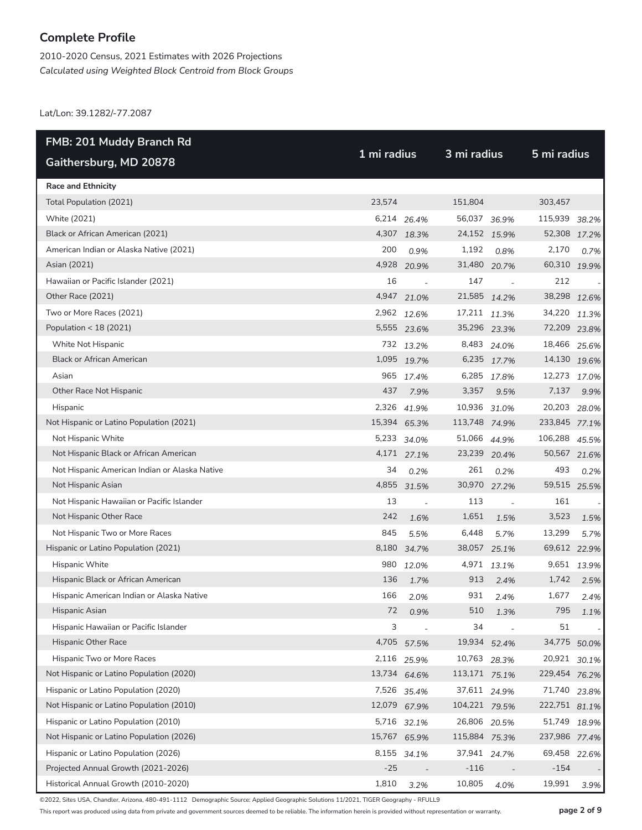2010-2020 Census, 2021 Estimates with 2026 Projections *Calculated using Weighted Block Centroid from Block Groups*

Lat/Lon: 39.1282/-77.2087

| FMB: 201 Muddy Branch Rd                      |             |                          |               | 3 mi radius    |               |       |  |
|-----------------------------------------------|-------------|--------------------------|---------------|----------------|---------------|-------|--|
| Gaithersburg, MD 20878                        | 1 mi radius |                          |               |                | 5 mi radius   |       |  |
| <b>Race and Ethnicity</b>                     |             |                          |               |                |               |       |  |
| Total Population (2021)                       | 23,574      |                          | 151,804       |                | 303,457       |       |  |
| White (2021)                                  |             | 6,214 26.4%              | 56,037 36.9%  |                | 115,939 38.2% |       |  |
| Black or African American (2021)              |             | 4,307 18.3%              | 24,152 15.9%  |                | 52,308 17.2%  |       |  |
| American Indian or Alaska Native (2021)       | 200         | 0.9%                     | 1,192         | 0.8%           | 2,170         | 0.7%  |  |
| Asian (2021)                                  |             | 4,928 20.9%              | 31,480 20.7%  |                | 60,310 19.9%  |       |  |
| Hawaiian or Pacific Islander (2021)           | 16          | $\overline{\phantom{a}}$ | 147           | $\overline{a}$ | 212           |       |  |
| Other Race (2021)                             |             | 4,947 21.0%              | 21,585 14.2%  |                | 38,298 12.6%  |       |  |
| Two or More Races (2021)                      |             | 2,962 12.6%              | 17,211 11.3%  |                | 34,220 11.3%  |       |  |
| Population < 18 (2021)                        |             | 5,555 23.6%              | 35,296 23.3%  |                | 72,209 23.8%  |       |  |
| White Not Hispanic                            |             | 732 13.2%                |               | 8,483 24.0%    | 18,466 25.6%  |       |  |
| <b>Black or African American</b>              |             | 1,095 19.7%              |               | 6,235 17.7%    | 14,130 19.6%  |       |  |
| Asian                                         |             | 965 17.4%                |               | 6,285 17.8%    | 12,273 17.0%  |       |  |
| Other Race Not Hispanic                       | 437         | 7.9%                     | 3,357         | 9.5%           | 7,137         | 9.9%  |  |
| Hispanic                                      |             | 2,326 41.9%              | 10,936 31.0%  |                | 20,203 28.0%  |       |  |
| Not Hispanic or Latino Population (2021)      |             | 15,394 65.3%             | 113,748 74.9% |                | 233,845 77.1% |       |  |
| Not Hispanic White                            |             | 5,233 34.0%              | 51,066 44.9%  |                | 106,288 45.5% |       |  |
| Not Hispanic Black or African American        |             | 4,171 27.1%              | 23,239 20.4%  |                | 50,567 21.6%  |       |  |
| Not Hispanic American Indian or Alaska Native | 34          | 0.2%                     | 261           | 0.2%           | 493           | 0.2%  |  |
| Not Hispanic Asian                            |             | 4,855 31.5%              | 30,970 27.2%  |                | 59,515 25.5%  |       |  |
| Not Hispanic Hawaiian or Pacific Islander     | 13          | $\overline{a}$           | 113           | $\overline{a}$ | 161           |       |  |
| Not Hispanic Other Race                       | 242         | 1.6%                     | 1,651         | 1.5%           | 3,523         | 1.5%  |  |
| Not Hispanic Two or More Races                | 845         | 5.5%                     | 6,448         | 5.7%           | 13,299        | 5.7%  |  |
| Hispanic or Latino Population (2021)          | 8,180       | 34.7%                    | 38,057 25.1%  |                | 69,612 22.9%  |       |  |
| Hispanic White                                | 980         | 12.0%                    |               | 4,971 13.1%    | 9,651         | 13.9% |  |
| Hispanic Black or African American            | 136         | 1.7%                     | 913           | 2.4%           | 1,742         | 2.5%  |  |
| Hispanic American Indian or Alaska Native     | 166         | 2.0%                     | 931           | 2.4%           | 1,677         | 2.4%  |  |
| Hispanic Asian                                | 72          | 0.9%                     | 510           | 1.3%           | 795           | 1.1%  |  |
| Hispanic Hawaiian or Pacific Islander         | 3           | $\overline{\phantom{a}}$ | 34            |                | 51            |       |  |
| Hispanic Other Race                           |             | 4,705 57.5%              | 19,934        | 52.4%          | 34,775        | 50.0% |  |
| Hispanic Two or More Races                    |             | 2,116 25.9%              | 10,763 28.3%  |                | 20,921        | 30.1% |  |
| Not Hispanic or Latino Population (2020)      |             | 13,734 64.6%             | 113,171 75.1% |                | 229,454 76.2% |       |  |
| Hispanic or Latino Population (2020)          |             | 7,526 35.4%              | 37,611 24.9%  |                | 71,740        | 23.8% |  |
| Not Hispanic or Latino Population (2010)      |             | 12,079 67.9%             | 104,221 79.5% |                | 222,751 81.1% |       |  |
| Hispanic or Latino Population (2010)          |             | 5,716 32.1%              | 26,806 20.5%  |                | 51,749        | 18.9% |  |
| Not Hispanic or Latino Population (2026)      | 15,767      | 65.9%                    | 115,884 75.3% |                | 237,986 77.4% |       |  |
| Hispanic or Latino Population (2026)          |             | 8,155 34.1%              | 37,941 24.7%  |                | 69,458        | 22.6% |  |
| Projected Annual Growth (2021-2026)           | $-25$       |                          | $-116$        |                | $-154$        |       |  |
| Historical Annual Growth (2010-2020)          | 1,810       | 3.2%                     | 10,805        | 4.0%           | 19,991        | 3.9%  |  |

©2022, Sites USA, Chandler, Arizona, 480-491-1112 Demographic Source: Applied Geographic Solutions 11/2021, TIGER Geography - RFULL9

This report was produced using data from private and government sources deemed to be reliable. The information herein is provided without representation or warranty. **page 2 of 9**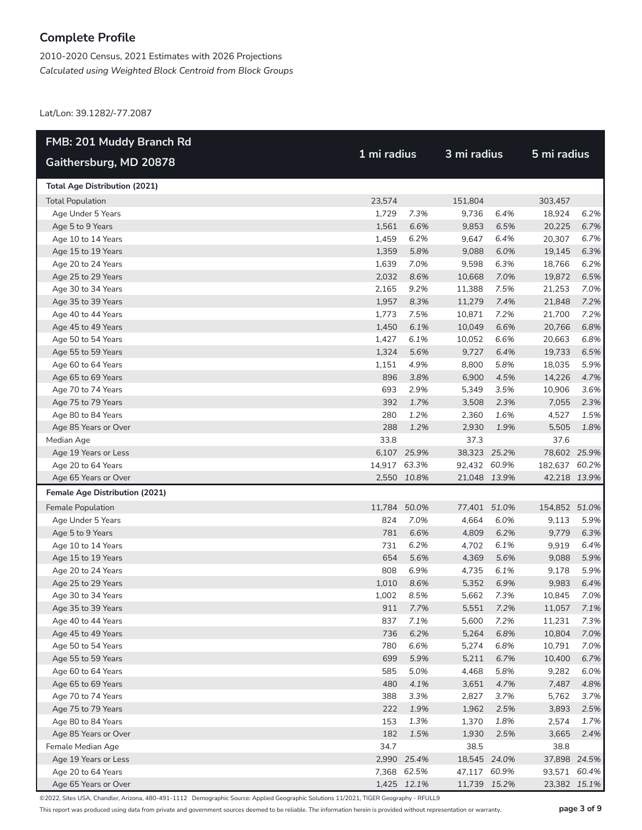2010-2020 Census, 2021 Estimates with 2026 Projections *Calculated using Weighted Block Centroid from Block Groups*

Lat/Lon: 39.1282/-77.2087

| <b>FMB: 201 Muddy Branch Rd</b>       |              |             | 3 mi radius  |      |               |      |
|---------------------------------------|--------------|-------------|--------------|------|---------------|------|
| Gaithersburg, MD 20878                |              | 1 mi radius |              |      | 5 mi radius   |      |
| <b>Total Age Distribution (2021)</b>  |              |             |              |      |               |      |
| <b>Total Population</b>               | 23,574       |             | 151,804      |      | 303,457       |      |
| Age Under 5 Years                     | 1,729        | 7.3%        | 9,736        | 6.4% | 18,924        | 6.2% |
| Age 5 to 9 Years                      | 1,561        | 6.6%        | 9,853        | 6.5% | 20,225        | 6.7% |
| Age 10 to 14 Years                    | 1,459        | 6.2%        | 9,647        | 6.4% | 20,307        | 6.7% |
| Age 15 to 19 Years                    | 1,359        | 5.8%        | 9,088        | 6.0% | 19,145        | 6.3% |
| Age 20 to 24 Years                    | 1,639        | 7.0%        | 9,598        | 6.3% | 18,766        | 6.2% |
| Age 25 to 29 Years                    | 2,032        | 8.6%        | 10,668       | 7.0% | 19,872        | 6.5% |
| Age 30 to 34 Years                    | 2,165        | 9.2%        | 11,388       | 7.5% | 21,253        | 7.0% |
| Age 35 to 39 Years                    | 1,957        | 8.3%        | 11,279       | 7.4% | 21,848        | 7.2% |
| Age 40 to 44 Years                    | 1,773        | 7.5%        | 10,871       | 7.2% | 21,700        | 7.2% |
| Age 45 to 49 Years                    | 1,450        | 6.1%        | 10,049       | 6.6% | 20,766        | 6.8% |
| Age 50 to 54 Years                    | 1,427        | 6.1%        | 10,052       | 6.6% | 20,663        | 6.8% |
| Age 55 to 59 Years                    | 1,324        | 5.6%        | 9,727        | 6.4% | 19,733        | 6.5% |
| Age 60 to 64 Years                    | 1,151        | 4.9%        | 8,800        | 5.8% | 18,035        | 5.9% |
| Age 65 to 69 Years                    | 896          | 3.8%        | 6,900        | 4.5% | 14,226        | 4.7% |
| Age 70 to 74 Years                    | 693          | 2.9%        | 5,349        | 3.5% | 10,906        | 3.6% |
| Age 75 to 79 Years                    | 392          | 1.7%        | 3,508        | 2.3% | 7,055         | 2.3% |
| Age 80 to 84 Years                    | 280          | 1.2%        | 2,360        | 1.6% | 4,527         | 1.5% |
| Age 85 Years or Over                  | 288          | 1.2%        | 2,930        | 1.9% | 5,505         | 1.8% |
| Median Age                            | 33.8         |             | 37.3         |      | 37.6          |      |
| Age 19 Years or Less                  |              | 6,107 25.9% | 38,323 25.2% |      | 78,602 25.9%  |      |
| Age 20 to 64 Years                    | 14,917 63.3% |             | 92,432 60.9% |      | 182,637 60.2% |      |
| Age 65 Years or Over                  |              | 2,550 10.8% | 21,048 13.9% |      | 42,218 13.9%  |      |
| <b>Female Age Distribution (2021)</b> |              |             |              |      |               |      |
| Female Population                     | 11,784 50.0% |             | 77,401 51.0% |      | 154,852 51.0% |      |
| Age Under 5 Years                     | 824          | 7.0%        | 4,664        | 6.0% | 9,113         | 5.9% |
| Age 5 to 9 Years                      | 781          | 6.6%        | 4,809        | 6.2% | 9,779         | 6.3% |
| Age 10 to 14 Years                    | 731          | 6.2%        | 4,702        | 6.1% | 9,919         | 6.4% |
| Age 15 to 19 Years                    | 654          | 5.6%        | 4,369        | 5.6% | 9,088         | 5.9% |
| Age 20 to 24 Years                    | 808          | 6.9%        | 4,735        | 6.1% | 9,178         | 5.9% |
| Age 25 to 29 Years                    | 1,010        | 8.6%        | 5,352        | 6.9% | 9,983         | 6.4% |
| Age 30 to 34 Years                    | 1,002        | 8.5%        | 5,662        | 7.3% | 10,845        | 7.0% |
| Age 35 to 39 Years                    |              | 911 7.7%    | 5,551        | 7.2% | 11,057        | 7.1% |
| Age 40 to 44 Years                    | 837          | 7.1%        | 5,600        | 7.2% | 11,231        | 7.3% |
| Age 45 to 49 Years                    | 736          | 6.2%        | 5,264        | 6.8% | 10,804        | 7.0% |
| Age 50 to 54 Years                    | 780          | 6.6%        | 5,274        | 6.8% | 10,791        | 7.0% |
| Age 55 to 59 Years                    | 699          | 5.9%        | 5,211        | 6.7% | 10,400        | 6.7% |
| Age 60 to 64 Years                    | 585          | 5.0%        | 4,468        | 5.8% | 9,282         | 6.0% |
| Age 65 to 69 Years                    | 480          | 4.1%        | 3,651        | 4.7% | 7,487         | 4.8% |
| Age 70 to 74 Years                    | 388          | 3.3%        | 2,827        | 3.7% | 5,762         | 3.7% |
| Age 75 to 79 Years                    | 222          | 1.9%        | 1,962        | 2.5% | 3,893         | 2.5% |
| Age 80 to 84 Years                    | 153          | 1.3%        | 1,370        | 1.8% | 2,574         | 1.7% |
| Age 85 Years or Over                  | 182          | 1.5%        | 1,930        | 2.5% | 3,665         | 2.4% |
| Female Median Age                     | 34.7         |             | 38.5         |      | 38.8          |      |
| Age 19 Years or Less                  |              | 2,990 25.4% | 18,545 24.0% |      | 37,898 24.5%  |      |
| Age 20 to 64 Years                    |              | 7,368 62.5% | 47,117 60.9% |      | 93,571 60.4%  |      |
| Age 65 Years or Over                  |              | 1,425 12.1% | 11,739 15.2% |      | 23,382 15.1%  |      |

©2022, Sites USA, Chandler, Arizona, 480-491-1112 Demographic Source: Applied Geographic Solutions 11/2021, TIGER Geography - RFULL9

This report was produced using data from private and government sources deemed to be reliable. The information herein is provided without representation or warranty. **page 3 of 9**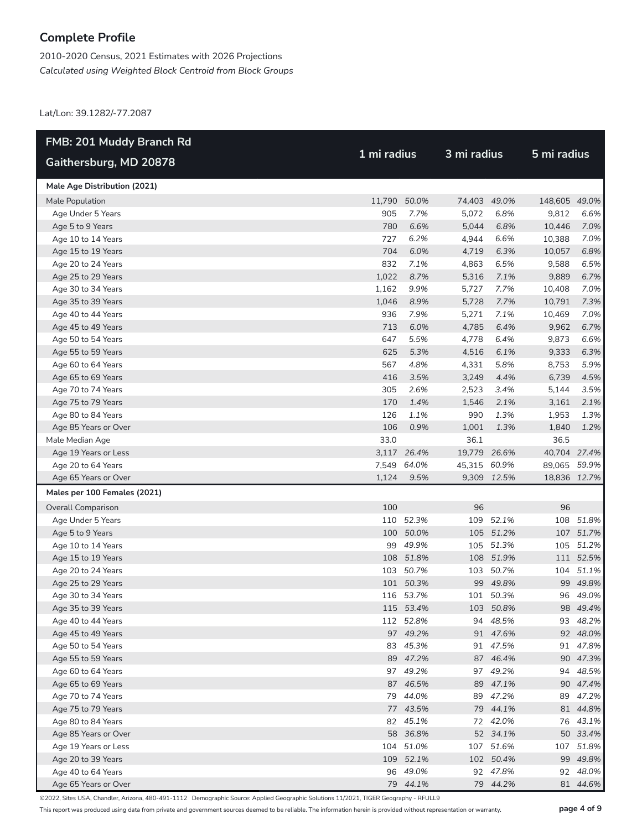2010-2020 Census, 2021 Estimates with 2026 Projections *Calculated using Weighted Block Centroid from Block Groups*

Lat/Lon: 39.1282/-77.2087

| <b>FMB: 201 Muddy Branch Rd</b> |              |             | 3 mi radius  |             |               |             |  |
|---------------------------------|--------------|-------------|--------------|-------------|---------------|-------------|--|
| Gaithersburg, MD 20878          | 1 mi radius  |             |              |             |               | 5 mi radius |  |
| Male Age Distribution (2021)    |              |             |              |             |               |             |  |
| Male Population                 | 11,790 50.0% |             | 74,403 49.0% |             | 148,605 49.0% |             |  |
| Age Under 5 Years               | 905          | 7.7%        | 5,072        | 6.8%        | 9,812         | 6.6%        |  |
| Age 5 to 9 Years                | 780          | 6.6%        | 5,044        | 6.8%        | 10,446        | 7.0%        |  |
| Age 10 to 14 Years              | 727          | 6.2%        | 4,944        | 6.6%        | 10,388        | 7.0%        |  |
| Age 15 to 19 Years              | 704          | 6.0%        | 4,719        | 6.3%        | 10,057        | 6.8%        |  |
| Age 20 to 24 Years              | 832          | 7.1%        | 4,863        | 6.5%        | 9,588         | 6.5%        |  |
| Age 25 to 29 Years              | 1,022        | 8.7%        | 5,316        | 7.1%        | 9,889         | 6.7%        |  |
| Age 30 to 34 Years              | 1,162        | 9.9%        | 5,727        | 7.7%        | 10,408        | 7.0%        |  |
| Age 35 to 39 Years              | 1,046        | 8.9%        | 5,728        | 7.7%        | 10,791        | 7.3%        |  |
| Age 40 to 44 Years              | 936          | 7.9%        | 5,271        | 7.1%        | 10,469        | 7.0%        |  |
| Age 45 to 49 Years              | 713          | 6.0%        | 4,785        | 6.4%        | 9,962         | 6.7%        |  |
| Age 50 to 54 Years              | 647          | 5.5%        | 4,778        | 6.4%        | 9,873         | 6.6%        |  |
| Age 55 to 59 Years              | 625          | 5.3%        | 4,516        | 6.1%        | 9,333         | 6.3%        |  |
| Age 60 to 64 Years              | 567          | 4.8%        | 4,331        | 5.8%        | 8,753         | 5.9%        |  |
| Age 65 to 69 Years              | 416          | 3.5%        | 3,249        | 4.4%        | 6,739         | 4.5%        |  |
| Age 70 to 74 Years              | 305          | 2.6%        | 2,523        | 3.4%        | 5,144         | 3.5%        |  |
| Age 75 to 79 Years              | 170          | 1.4%        | 1,546        | 2.1%        | 3,161         | 2.1%        |  |
| Age 80 to 84 Years              | 126          | 1.1%        | 990          | 1.3%        | 1,953         | 1.3%        |  |
| Age 85 Years or Over            | 106          | 0.9%        | 1,001        | 1.3%        | 1,840         | 1.2%        |  |
| Male Median Age                 | 33.0         |             | 36.1         |             | 36.5          |             |  |
| Age 19 Years or Less            |              | 3,117 26.4% | 19,779 26.6% |             | 40,704 27.4%  |             |  |
| Age 20 to 64 Years              |              | 7,549 64.0% | 45,315 60.9% |             | 89,065 59.9%  |             |  |
| Age 65 Years or Over            | 1,124        | 9.5%        |              | 9,309 12.5% | 18,836 12.7%  |             |  |
| Males per 100 Females (2021)    |              |             |              |             |               |             |  |
| <b>Overall Comparison</b>       | 100          |             | 96           |             | 96            |             |  |
| Age Under 5 Years               |              | 110 52.3%   | 109          | 52.1%       |               | 108 51.8%   |  |
| Age 5 to 9 Years                |              | 100 50.0%   |              | 105 51.2%   |               | 107 51.7%   |  |
| Age 10 to 14 Years              |              | 99 49.9%    |              | 105 51.3%   |               | 105 51.2%   |  |
| Age 15 to 19 Years              |              | 108 51.8%   |              | 108 51.9%   |               | 111 52.5%   |  |
| Age 20 to 24 Years              |              | 103 50.7%   |              | 103 50.7%   |               | 104 51.1%   |  |
| Age 25 to 29 Years              |              | 101 50.3%   |              | 99 49.8%    |               | 99 49.8%    |  |
| Age 30 to 34 Years              |              | 116 53.7%   |              | 101 50.3%   |               | 96 49.0%    |  |
| Age 35 to 39 Years              |              | 115 53.4%   |              | 103 50.8%   |               | 98 49.4%    |  |
| Age 40 to 44 Years              |              | 112 52.8%   |              | 94 48.5%    |               | 93 48.2%    |  |
| Age 45 to 49 Years              |              | 97 49.2%    |              | 91 47.6%    |               | 92 48.0%    |  |
| Age 50 to 54 Years              |              | 83 45.3%    |              | 91 47.5%    |               | 91 47.8%    |  |
| Age 55 to 59 Years              |              | 89 47.2%    |              | 87 46.4%    |               | 90 47.3%    |  |
| Age 60 to 64 Years              |              | 97 49.2%    |              | 97 49.2%    |               | 94 48.5%    |  |
| Age 65 to 69 Years              |              | 87 46.5%    |              | 89 47.1%    |               | 90 47.4%    |  |
| Age 70 to 74 Years              |              | 79 44.0%    |              | 89 47.2%    |               | 89 47.2%    |  |
| Age 75 to 79 Years              |              | 77 43.5%    |              | 79 44.1%    |               | 81 44.8%    |  |
| Age 80 to 84 Years              |              | 82 45.1%    |              | 72 42.0%    |               | 76 43.1%    |  |
| Age 85 Years or Over            |              | 58 36.8%    |              | 52 34.1%    |               | 50 33.4%    |  |
| Age 19 Years or Less            |              | 104 51.0%   |              | 107 51.6%   |               | 107 51.8%   |  |
| Age 20 to 39 Years              |              | 109 52.1%   |              | 102 50.4%   |               | 99 49.8%    |  |
| Age 40 to 64 Years              |              | 96 49.0%    |              | 92 47.8%    |               | 92 48.0%    |  |
| Age 65 Years or Over            |              | 79 44.1%    |              | 79 44.2%    |               | 81 44.6%    |  |

©2022, Sites USA, Chandler, Arizona, 480-491-1112 Demographic Source: Applied Geographic Solutions 11/2021, TIGER Geography - RFULL9

This report was produced using data from private and government sources deemed to be reliable. The information herein is provided without representation or warranty. **page 4 of 9**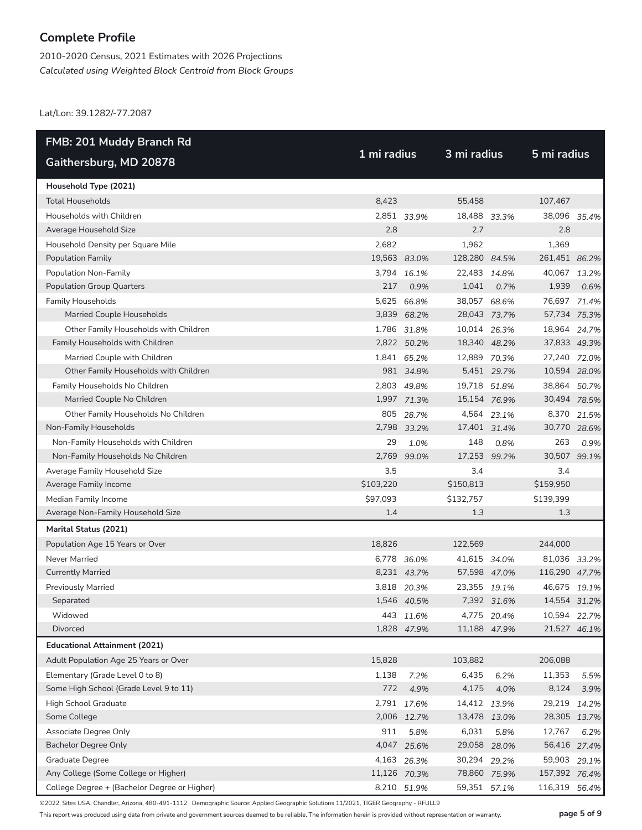2010-2020 Census, 2021 Estimates with 2026 Projections *Calculated using Weighted Block Centroid from Block Groups*

Lat/Lon: 39.1282/-77.2087

| <b>FMB: 201 Muddy Branch Rd</b>              |              |              | 3 mi radius   |             |               |       |  |  |
|----------------------------------------------|--------------|--------------|---------------|-------------|---------------|-------|--|--|
| Gaithersburg, MD 20878                       |              | 1 mi radius  |               |             | 5 mi radius   |       |  |  |
| Household Type (2021)                        |              |              |               |             |               |       |  |  |
| <b>Total Households</b>                      | 8,423        |              | 55,458        |             | 107,467       |       |  |  |
| Households with Children                     |              | 2,851 33.9%  | 18,488        | 33.3%       | 38,096 35.4%  |       |  |  |
| Average Household Size                       | 2.8          |              | 2.7           |             | 2.8           |       |  |  |
| Household Density per Square Mile            | 2,682        |              | 1,962         |             | 1,369         |       |  |  |
| <b>Population Family</b>                     | 19,563 83.0% |              | 128,280 84.5% |             | 261,451 86.2% |       |  |  |
| Population Non-Family                        | 3.794        | 16.1%        | 22,483        | 14.8%       | 40,067 13.2%  |       |  |  |
| <b>Population Group Quarters</b>             | 217          | 0.9%         | 1,041         | 0.7%        | 1,939         | 0.6%  |  |  |
| <b>Family Households</b>                     |              | 5,625 66.8%  | 38,057 68.6%  |             | 76,697 71.4%  |       |  |  |
| Married Couple Households                    |              | 3,839 68.2%  | 28,043 73.7%  |             | 57,734 75.3%  |       |  |  |
| Other Family Households with Children        |              | 1,786 31.8%  | 10,014 26.3%  |             | 18,964 24.7%  |       |  |  |
| Family Households with Children              |              | 2,822 50.2%  | 18,340 48.2%  |             | 37,833 49.3%  |       |  |  |
| Married Couple with Children                 |              | 1,841 65.2%  | 12,889 70.3%  |             | 27,240 72.0%  |       |  |  |
| Other Family Households with Children        |              | 981 34.8%    |               | 5,451 29.7% | 10,594 28.0%  |       |  |  |
| Family Households No Children                |              | 2,803 49.8%  | 19,718 51.8%  |             | 38,864 50.7%  |       |  |  |
| Married Couple No Children                   |              | 1,997 71.3%  | 15,154 76.9%  |             | 30,494 78.5%  |       |  |  |
| Other Family Households No Children          |              | 805 28.7%    |               | 4,564 23.1% | 8,370         | 21.5% |  |  |
| Non-Family Households                        |              | 2,798 33.2%  | 17,401 31.4%  |             | 30,770 28.6%  |       |  |  |
| Non-Family Households with Children          | 29           | 1.0%         | 148           | 0.8%        | 263           | 0.9%  |  |  |
| Non-Family Households No Children            | 2,769        | 99.0%        | 17,253 99.2%  |             | 30,507 99.1%  |       |  |  |
| Average Family Household Size                | 3.5          |              | 3.4           |             | 3.4           |       |  |  |
| Average Family Income                        | \$103,220    |              | \$150,813     |             | \$159,950     |       |  |  |
| Median Family Income                         | \$97,093     |              | \$132,757     |             | \$139,399     |       |  |  |
| Average Non-Family Household Size            | 1.4          |              | 1.3           |             | 1.3           |       |  |  |
| Marital Status (2021)                        |              |              |               |             |               |       |  |  |
| Population Age 15 Years or Over              | 18,826       |              | 122,569       |             | 244,000       |       |  |  |
| Never Married                                |              | 6,778 36.0%  | 41,615 34.0%  |             | 81,036 33.2%  |       |  |  |
| <b>Currently Married</b>                     |              | 8,231 43.7%  | 57,598 47.0%  |             | 116,290 47.7% |       |  |  |
| <b>Previously Married</b>                    | 3,818        | 20.3%        | 23,355        | 19.1%       | 46,675        | 19.1% |  |  |
| Separated                                    |              | 1,546 40.5%  |               | 7,392 31.6% | 14,554 31.2%  |       |  |  |
| Widowed                                      |              | 443 11.6%    |               | 4,775 20.4% | 10,594        | 22.7% |  |  |
| Divorced                                     |              | 1,828 47.9%  | 11,188 47.9%  |             | 21,527 46.1%  |       |  |  |
| <b>Educational Attainment (2021)</b>         |              |              |               |             |               |       |  |  |
| Adult Population Age 25 Years or Over        | 15,828       |              | 103,882       |             | 206,088       |       |  |  |
| Elementary (Grade Level 0 to 8)              | 1,138        | 7.2%         | 6,435         | 6.2%        | 11,353        | 5.5%  |  |  |
| Some High School (Grade Level 9 to 11)       | 772          | 4.9%         | 4,175         | 4.0%        | 8,124         | 3.9%  |  |  |
| High School Graduate                         |              | 2,791 17.6%  | 14,412 13.9%  |             | 29,219        | 14.2% |  |  |
| Some College                                 |              | 2,006 12.7%  | 13,478 13.0%  |             | 28,305 13.7%  |       |  |  |
| Associate Degree Only                        | 911          | 5.8%         | 6,031         | 5.8%        | 12,767        | 6.2%  |  |  |
| <b>Bachelor Degree Only</b>                  |              | 4,047 25.6%  | 29,058 28.0%  |             | 56,416 27.4%  |       |  |  |
| Graduate Degree                              |              | 4,163 26.3%  | 30,294 29.2%  |             | 59,903        | 29.1% |  |  |
| Any College (Some College or Higher)         |              | 11,126 70.3% | 78,860 75.9%  |             | 157,392 76.4% |       |  |  |
| College Degree + (Bachelor Degree or Higher) |              | 8,210 51.9%  | 59,351 57.1%  |             | 116,319 56.4% |       |  |  |

©2022, Sites USA, Chandler, Arizona, 480-491-1112 Demographic Source: Applied Geographic Solutions 11/2021, TIGER Geography - RFULL9

This report was produced using data from private and government sources deemed to be reliable. The information herein is provided without representation or warranty. **page 5 of 9**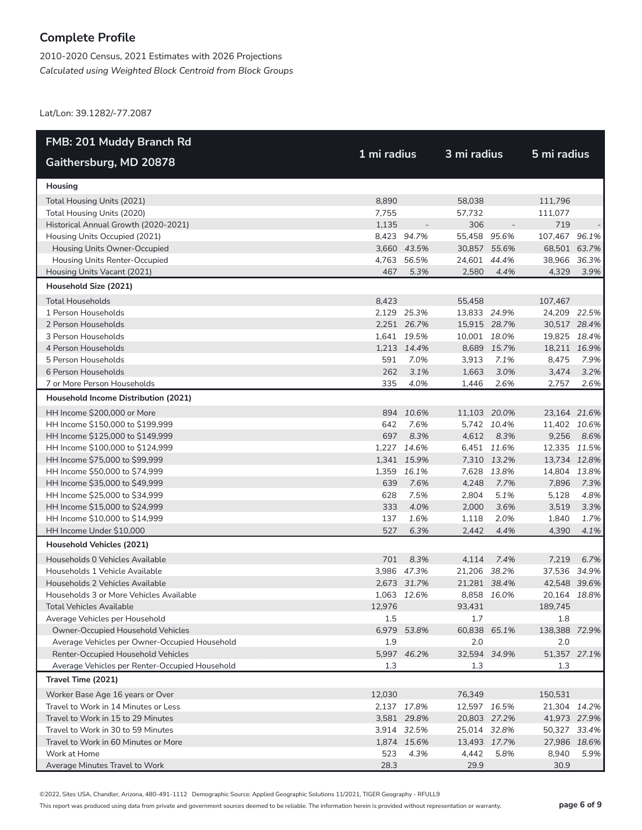2010-2020 Census, 2021 Estimates with 2026 Projections *Calculated using Weighted Block Centroid from Block Groups*

Lat/Lon: 39.1282/-77.2087

| <b>FMB: 201 Muddy Branch Rd</b>                      |             |                            |                              |                          |                       |      |  |
|------------------------------------------------------|-------------|----------------------------|------------------------------|--------------------------|-----------------------|------|--|
| Gaithersburg, MD 20878                               | 1 mi radius |                            | 3 mi radius                  |                          | 5 mi radius           |      |  |
| Housing                                              |             |                            |                              |                          |                       |      |  |
| Total Housing Units (2021)                           | 8,890       |                            | 58,038                       |                          | 111,796               |      |  |
| Total Housing Units (2020)                           | 7,755       |                            | 57,732                       |                          | 111,077               |      |  |
| Historical Annual Growth (2020-2021)                 | 1,135       | $\overline{\phantom{a}}$   | 306                          | $\overline{\phantom{a}}$ | 719                   |      |  |
| Housing Units Occupied (2021)                        |             | 8,423 94.7%                | 55,458 95.6%                 |                          | 107,467 96.1%         |      |  |
| Housing Units Owner-Occupied                         |             | 3,660 43.5%                | 30,857 55.6%                 |                          | 68,501 63.7%          |      |  |
| Housing Units Renter-Occupied                        | 4,763       | 56.5%                      | 24,601                       | 44.4%                    | 38,966 36.3%          |      |  |
| Housing Units Vacant (2021)                          | 467         | 5.3%                       | 2,580                        | 4.4%                     | 4,329                 | 3.9% |  |
| Household Size (2021)                                |             |                            |                              |                          |                       |      |  |
| <b>Total Households</b>                              | 8,423       |                            | 55,458                       |                          | 107,467               |      |  |
| 1 Person Households                                  |             | 2,129 25.3%                | 13,833 24.9%                 |                          | 24,209 22.5%          |      |  |
| 2 Person Households                                  |             | 2,251 26.7%                | 15,915 28.7%                 |                          | 30,517 28.4%          |      |  |
| 3 Person Households                                  |             | 1,641 19.5%                | 10,001 18.0%                 |                          | 19,825 18.4%          |      |  |
| 4 Person Households                                  |             | 1,213 14.4%                |                              | 8,689 15.7%              | 18,211 16.9%          |      |  |
| 5 Person Households                                  | 591         | 7.0%                       | 3.913                        | 7.1%                     | 8,475                 | 7.9% |  |
| 6 Person Households                                  | 262         | 3.1%                       | 1,663                        | 3.0%                     | 3,474                 | 3.2% |  |
| 7 or More Person Households                          | 335         | 4.0%                       | 1,446                        | 2.6%                     | 2,757                 | 2.6% |  |
| Household Income Distribution (2021)                 |             |                            |                              |                          |                       |      |  |
| HH Income \$200,000 or More                          |             | 894 10.6%                  | 11,103 20.0%                 |                          | 23,164 21.6%          |      |  |
| HH Income \$150,000 to \$199,999                     | 642         | 7.6%                       |                              | 5,742 10.4%              | 11,402 10.6%          |      |  |
| HH Income \$125,000 to \$149,999                     | 697         | 8.3%                       | 4,612                        | 8.3%                     | 9,256                 | 8.6% |  |
| HH Income \$100,000 to \$124,999                     |             | 1,227 14.6%                |                              | 6,451 11.6%              | 12,335 11.5%          |      |  |
| HH Income \$75,000 to \$99,999                       |             | 1,341 15.9%                |                              | 7,310 13.2%              | 13,734 12.8%          |      |  |
| HH Income \$50,000 to \$74,999                       |             | 1,359 16.1%                |                              | 7,628 13.8%              | 14,804 13.8%          |      |  |
| HH Income \$35,000 to \$49,999                       | 639         | 7.6%                       | 4,248                        | 7.7%                     | 7,896                 | 7.3% |  |
| HH Income \$25,000 to \$34,999                       | 628         | 7.5%                       | 2,804                        | 5.1%                     | 5,128                 | 4.8% |  |
| HH Income \$15,000 to \$24,999                       | 333         | 4.0%                       | 2,000                        | 3.6%                     | 3,519                 | 3.3% |  |
| HH Income \$10,000 to \$14,999                       | 137         | 1.6%                       | 1,118                        | 2.0%                     | 1,840                 | 1.7% |  |
| HH Income Under \$10,000                             | 527         | 6.3%                       | 2,442                        | 4.4%                     | 4,390                 | 4.1% |  |
| Household Vehicles (2021)                            |             |                            |                              |                          |                       |      |  |
| Households 0 Vehicles Available                      | 701         | 8.3%                       | 4,114                        | 7.4%                     | 7,219                 | 6.7% |  |
| Households 1 Vehicle Available                       |             | 3,986 47.3%                | 21,206 38.2%                 |                          | 37,536 34.9%          |      |  |
| Households 2 Vehicles Available                      |             | 2,673 31.7%                | 21,281 38.4%                 |                          | 42,548 39.6%          |      |  |
| Households 3 or More Vehicles Available              |             | 1,063 12.6%                |                              | 8,858 16.0%              | 20,164 18.8%          |      |  |
| Total Vehicles Available                             | 12,976      |                            | 93,431                       |                          | 189,745               |      |  |
| Average Vehicles per Household                       | 1.5         |                            | 1.7                          |                          | 1.8                   |      |  |
| Owner-Occupied Household Vehicles                    |             | 6,979 53.8%                | 60,838 65.1%                 |                          | 138,388 72.9%         |      |  |
| Average Vehicles per Owner-Occupied Household        | 1.9         |                            | 2.0                          |                          | 2.0                   |      |  |
| Renter-Occupied Household Vehicles                   |             | 5,997 46.2%                | 32,594 34.9%                 |                          | 51,357 27.1%          |      |  |
| Average Vehicles per Renter-Occupied Household       | 1.3         |                            | 1.3                          |                          | 1.3                   |      |  |
| Travel Time (2021)                                   |             |                            |                              |                          |                       |      |  |
| Worker Base Age 16 years or Over                     | 12,030      |                            | 76,349                       |                          | 150,531               |      |  |
| Travel to Work in 14 Minutes or Less                 |             | 2,137 17.8%                | 12,597 16.5%                 |                          | 21,304 14.2%          |      |  |
| Travel to Work in 15 to 29 Minutes                   |             | 3,581 29.8%                | 20,803 27.2%                 |                          | 41,973 27.9%          |      |  |
| Travel to Work in 30 to 59 Minutes                   |             | 3,914 32.5%<br>1,874 15.6% | 25,014 32.8%<br>13,493 17.7% |                          | 50,327 33.4%          |      |  |
| Travel to Work in 60 Minutes or More<br>Work at Home | 523         | 4.3%                       | 4,442                        | 5.8%                     | 27,986 18.6%<br>8,940 | 5.9% |  |
| Average Minutes Travel to Work                       | 28.3        |                            | 29.9                         |                          | 30.9                  |      |  |

©2022, Sites USA, Chandler, Arizona, 480-491-1112 Demographic Source: Applied Geographic Solutions 11/2021, TIGER Geography - RFULL9

This report was produced using data from private and government sources deemed to be reliable. The information herein is provided without representation or warranty. **page 6 of 9**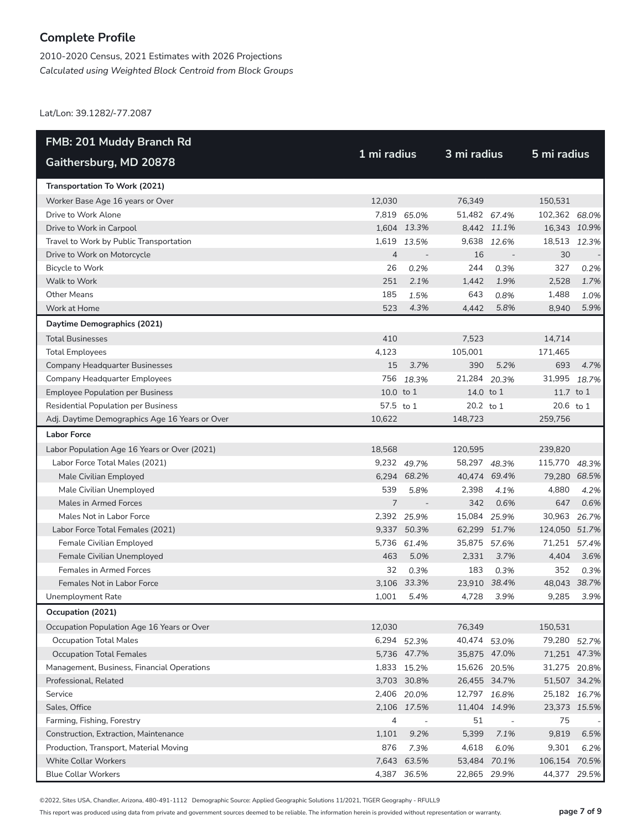2010-2020 Census, 2021 Estimates with 2026 Projections *Calculated using Weighted Block Centroid from Block Groups*

Lat/Lon: 39.1282/-77.2087

| FMB: 201 Muddy Branch Rd                       |                |                          |              |                          |               |       |  |
|------------------------------------------------|----------------|--------------------------|--------------|--------------------------|---------------|-------|--|
| Gaithersburg, MD 20878                         | 1 mi radius    |                          | 3 mi radius  |                          | 5 mi radius   |       |  |
| Transportation To Work (2021)                  |                |                          |              |                          |               |       |  |
| Worker Base Age 16 years or Over               | 12,030         |                          | 76.349       |                          | 150,531       |       |  |
| Drive to Work Alone                            |                | 7,819 65.0%              | 51,482 67.4% |                          | 102,362 68.0% |       |  |
| Drive to Work in Carpool                       |                | 1,604 13.3%              |              | 8,442 11.1%              | 16,343 10.9%  |       |  |
| Travel to Work by Public Transportation        | 1,619          | 13.5%                    | 9,638        | 12.6%                    | 18,513 12.3%  |       |  |
| Drive to Work on Motorcycle                    | $\overline{4}$ | $\overline{\phantom{a}}$ | 16           | $\overline{\phantom{a}}$ | 30            |       |  |
| Bicycle to Work                                | 26             | 0.2%                     | 244          | 0.3%                     | 327           | 0.2%  |  |
| Walk to Work                                   | 251            | 2.1%                     | 1,442        | 1.9%                     | 2,528         | 1.7%  |  |
| <b>Other Means</b>                             | 185            | 1.5%                     | 643          | 0.8%                     | 1,488         | 1.0%  |  |
| Work at Home                                   | 523            | 4.3%                     | 4,442        | 5.8%                     | 8,940         | 5.9%  |  |
| Daytime Demographics (2021)                    |                |                          |              |                          |               |       |  |
| <b>Total Businesses</b>                        | 410            |                          | 7,523        |                          | 14,714        |       |  |
| <b>Total Employees</b>                         | 4,123          |                          | 105,001      |                          | 171,465       |       |  |
| <b>Company Headquarter Businesses</b>          | 15             | 3.7%                     | 390          | 5.2%                     | 693           | 4.7%  |  |
| <b>Company Headquarter Employees</b>           | 756            | 18.3%                    | 21,284       | 20.3%                    | 31,995        | 18.7% |  |
| <b>Employee Population per Business</b>        | $10.0$ to $1$  |                          | 14.0 to 1    |                          | 11.7 to 1     |       |  |
| <b>Residential Population per Business</b>     | 57.5 to 1      |                          | 20.2 to 1    |                          | 20.6 to 1     |       |  |
| Adj. Daytime Demographics Age 16 Years or Over | 10.622         |                          | 148,723      |                          | 259,756       |       |  |
| <b>Labor Force</b>                             |                |                          |              |                          |               |       |  |
| Labor Population Age 16 Years or Over (2021)   | 18,568         |                          | 120,595      |                          | 239,820       |       |  |
| Labor Force Total Males (2021)                 |                | 9,232 49.7%              | 58,297 48.3% |                          | 115,770 48.3% |       |  |
| Male Civilian Employed                         |                | 6,294 68.2%              | 40,474 69.4% |                          | 79,280 68.5%  |       |  |
| Male Civilian Unemployed                       | 539            | 5.8%                     | 2,398        | 4.1%                     | 4,880         | 4.2%  |  |
| Males in Armed Forces                          | 7              | $\overline{\phantom{a}}$ | 342          | 0.6%                     | 647           | 0.6%  |  |
| Males Not in Labor Force                       |                | 2,392 25.9%              | 15,084 25.9% |                          | 30,963        | 26.7% |  |
| Labor Force Total Females (2021)               |                | 9,337 50.3%              | 62,299 51.7% |                          | 124,050 51.7% |       |  |
| Female Civilian Employed                       |                | 5,736 61.4%              | 35,875       | 57.6%                    | 71,251 57.4%  |       |  |
| Female Civilian Unemployed                     | 463            | 5.0%                     | 2,331        | 3.7%                     | 4,404         | 3.6%  |  |
| <b>Females in Armed Forces</b>                 | 32             | 0.3%                     | 183          | 0.3%                     | 352           | 0.3%  |  |
| Females Not in Labor Force                     |                | 3,106 33.3%              | 23,910 38.4% |                          | 48,043 38.7%  |       |  |
| Unemployment Rate                              | 1,001          | 5.4%                     | 4,728        | 3.9%                     | 9,285         | 3.9%  |  |
| Occupation (2021)                              |                |                          |              |                          |               |       |  |
| Occupation Population Age 16 Years or Over     | 12,030         |                          | 76,349       |                          | 150,531       |       |  |
| <b>Occupation Total Males</b>                  |                | 6,294 52.3%              | 40,474 53.0% |                          | 79,280 52.7%  |       |  |
| <b>Occupation Total Females</b>                |                | 5,736 47.7%              | 35,875 47.0% |                          | 71,251 47.3%  |       |  |
| Management, Business, Financial Operations     |                | 1,833 15.2%              | 15,626 20.5% |                          | 31,275 20.8%  |       |  |
| Professional, Related                          |                | 3,703 30.8%              | 26,455 34.7% |                          | 51,507 34.2%  |       |  |
| Service                                        |                | 2,406 20.0%              | 12,797 16.8% |                          | 25,182 16.7%  |       |  |
| Sales, Office                                  |                | 2,106 17.5%              | 11,404 14.9% |                          | 23,373 15.5%  |       |  |
| Farming, Fishing, Forestry                     | 4              | $\overline{\phantom{a}}$ | 51           | $\overline{\phantom{a}}$ | 75            |       |  |
| Construction, Extraction, Maintenance          | 1,101          | 9.2%                     | 5,399        | 7.1%                     | 9,819         | 6.5%  |  |
| Production, Transport, Material Moving         | 876            | 7.3%                     | 4,618        | 6.0%                     | 9,301         | 6.2%  |  |
| <b>White Collar Workers</b>                    |                | 7,643 63.5%              | 53,484 70.1% |                          | 106,154 70.5% |       |  |
| <b>Blue Collar Workers</b>                     |                | 4,387 36.5%              | 22,865 29.9% |                          | 44,377        | 29.5% |  |

©2022, Sites USA, Chandler, Arizona, 480-491-1112 Demographic Source: Applied Geographic Solutions 11/2021, TIGER Geography - RFULL9

This report was produced using data from private and government sources deemed to be reliable. The information herein is provided without representation or warranty. **page 7 of 9**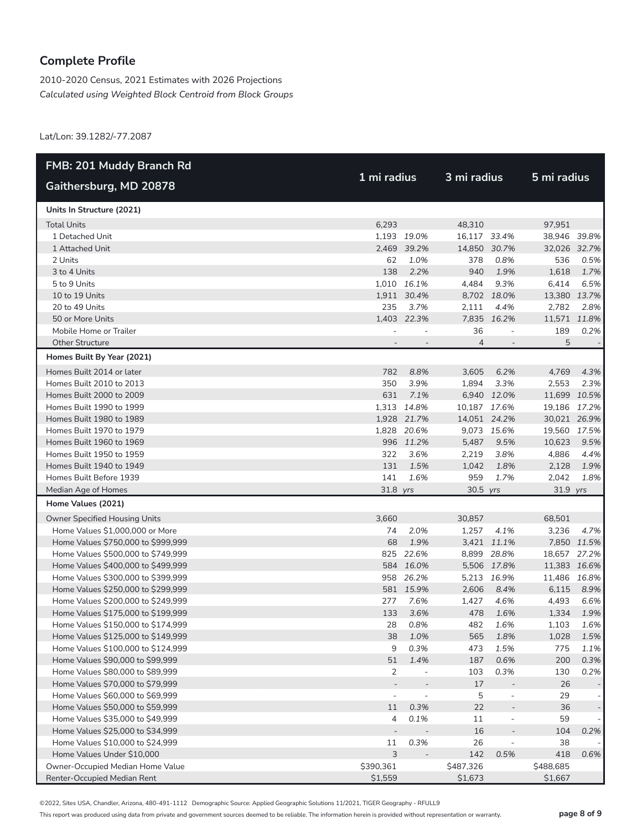2010-2020 Census, 2021 Estimates with 2026 Projections *Calculated using Weighted Block Centroid from Block Groups*

Lat/Lon: 39.1282/-77.2087

| FMB: 201 Muddy Branch Rd           |             |                          |                |                          |              |             |
|------------------------------------|-------------|--------------------------|----------------|--------------------------|--------------|-------------|
| Gaithersburg, MD 20878             | 1 mi radius |                          | 3 mi radius    |                          | 5 mi radius  |             |
| Units In Structure (2021)          |             |                          |                |                          |              |             |
| <b>Total Units</b>                 | 6,293       |                          | 48,310         |                          | 97,951       |             |
| 1 Detached Unit                    |             | 1,193 19.0%              | 16,117 33.4%   |                          | 38,946 39.8% |             |
| 1 Attached Unit                    |             | 2,469 39.2%              | 14,850 30.7%   |                          | 32,026 32.7% |             |
| 2 Units                            | 62          | 1.0%                     | 378            | 0.8%                     | 536          | 0.5%        |
| 3 to 4 Units                       | 138         | 2.2%                     | 940            | 1.9%                     | 1,618        | 1.7%        |
| 5 to 9 Units                       |             | 1,010 16.1%              | 4,484          | 9.3%                     | 6,414        | 6.5%        |
| 10 to 19 Units                     |             | 1,911 30.4%              |                | 8,702 18.0%              | 13,380 13.7% |             |
| 20 to 49 Units                     | 235         | 3.7%                     | 2,111          | 4.4%                     | 2,782        | 2.8%        |
| 50 or More Units                   |             | 1,403 22.3%              | 7,835          | 16.2%                    | 11,571 11.8% |             |
| Mobile Home or Trailer             |             |                          | 36             | $\overline{\phantom{a}}$ | 189          | 0.2%        |
| <b>Other Structure</b>             |             |                          | $\overline{4}$ |                          | 5            |             |
| Homes Built By Year (2021)         |             |                          |                |                          |              |             |
| Homes Built 2014 or later          | 782         | 8.8%                     | 3,605          | 6.2%                     | 4,769        | 4.3%        |
| Homes Built 2010 to 2013           | 350         | 3.9%                     | 1,894          | 3.3%                     | 2,553        | 2.3%        |
| Homes Built 2000 to 2009           | 631         | 7.1%                     |                | 6,940 12.0%              | 11,699 10.5% |             |
| Homes Built 1990 to 1999           |             | 1,313 14.8%              | 10,187 17.6%   |                          | 19,186 17.2% |             |
| Homes Built 1980 to 1989           |             | 1,928 21.7%              | 14,051 24.2%   |                          | 30,021 26.9% |             |
| Homes Built 1970 to 1979           |             | 1,828 20.6%              |                | 9,073 15.6%              | 19,560 17.5% |             |
| Homes Built 1960 to 1969           |             | 996 11.2%                | 5,487          | 9.5%                     | 10,623       | 9.5%        |
| Homes Built 1950 to 1959           | 322         | 3.6%                     | 2,219          | 3.8%                     | 4,886        | 4.4%        |
| Homes Built 1940 to 1949           | 131         | 1.5%                     | 1,042          | 1.8%                     | 2,128        | 1.9%        |
| Homes Built Before 1939            | 141         | 1.6%                     | 959            | 1.7%                     | 2,042        | 1.8%        |
| Median Age of Homes                | 31.8 yrs    |                          | 30.5 yrs       |                          | 31.9 yrs     |             |
| Home Values (2021)                 |             |                          |                |                          |              |             |
| Owner Specified Housing Units      | 3,660       |                          | 30,857         |                          | 68,501       |             |
| Home Values \$1,000,000 or More    | 74          | 2.0%                     | 1,257          | 4.1%                     | 3,236        | 4.7%        |
| Home Values \$750,000 to \$999,999 | 68          | 1.9%                     |                | 3,421 11.1%              |              | 7,850 11.5% |
| Home Values \$500,000 to \$749,999 |             | 825 22.6%                |                | 8,899 28.8%              | 18,657 27.2% |             |
| Home Values \$400,000 to \$499,999 |             | 584 16.0%                |                | 5,506 17.8%              | 11,383 16.6% |             |
| Home Values \$300,000 to \$399,999 |             | 958 26.2%                |                | 5,213 16.9%              | 11,486 16.8% |             |
| Home Values \$250,000 to \$299,999 |             | 581 15.9%                | 2,606          | 8.4%                     | 6,115        | 8.9%        |
| Home Values \$200,000 to \$249,999 | 277         | 7.6%                     | 1,427          | 4.6%                     | 4,493        | 6.6%        |
| Home Values \$175,000 to \$199,999 | 133         | 3.6%                     | 478            | 1.6%                     | 1,334        | 1.9%        |
| Home Values \$150,000 to \$174,999 | 28          | 0.8%                     | 482            | 1.6%                     | 1,103        | 1.6%        |
| Home Values \$125,000 to \$149,999 | 38          | 1.0%                     | 565            | 1.8%                     | 1,028        | 1.5%        |
| Home Values \$100,000 to \$124,999 | 9           | 0.3%                     | 473            | 1.5%                     | 775          | 1.1%        |
| Home Values \$90,000 to \$99,999   | 51          | 1.4%                     | 187            | 0.6%                     | 200          | 0.3%        |
| Home Values \$80,000 to \$89,999   | 2           | $\overline{\phantom{a}}$ | 103            | 0.3%                     | 130          | 0.2%        |
| Home Values \$70,000 to \$79,999   |             |                          | 17             |                          | 26           |             |
| Home Values \$60,000 to \$69,999   |             | $\overline{a}$           | 5              | $\overline{\phantom{m}}$ | 29           |             |
| Home Values \$50,000 to \$59,999   | 11          | 0.3%                     | 22             |                          | 36           |             |
| Home Values \$35,000 to \$49,999   | 4           | 0.1%                     | 11             | $\qquad \qquad -$        | 59           |             |
| Home Values \$25,000 to \$34,999   |             |                          | 16             | $\overline{a}$           | 104          | 0.2%        |
| Home Values \$10,000 to \$24,999   | 11          | 0.3%                     | 26             |                          | 38           |             |
| Home Values Under \$10,000         | 3           |                          | 142            | 0.5%                     | 418          | 0.6%        |
| Owner-Occupied Median Home Value   | \$390,361   |                          | \$487,326      |                          | \$488,685    |             |
| Renter-Occupied Median Rent        | \$1,559     |                          | \$1,673        |                          | \$1,667      |             |

©2022, Sites USA, Chandler, Arizona, 480-491-1112 Demographic Source: Applied Geographic Solutions 11/2021, TIGER Geography - RFULL9

This report was produced using data from private and government sources deemed to be reliable. The information herein is provided without representation or warranty. **page 8 of 9**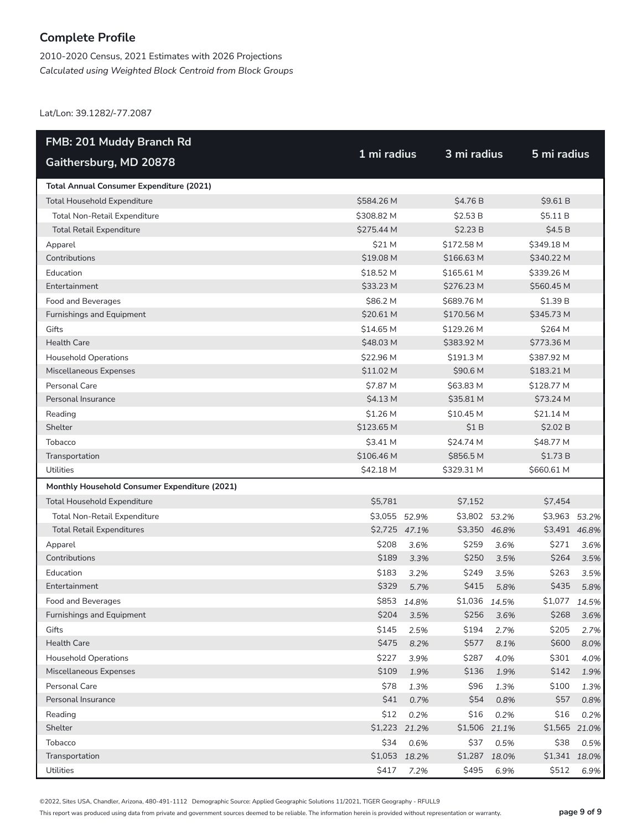2010-2020 Census, 2021 Estimates with 2026 Projections *Calculated using Weighted Block Centroid from Block Groups*

Lat/Lon: 39.1282/-77.2087

| FMB: 201 Muddy Branch Rd                      |               |               |               |       |               |       |
|-----------------------------------------------|---------------|---------------|---------------|-------|---------------|-------|
| Gaithersburg, MD 20878                        | 1 mi radius   |               | 3 mi radius   |       | 5 mi radius   |       |
| Total Annual Consumer Expenditure (2021)      |               |               |               |       |               |       |
| Total Household Expenditure                   | \$584.26 M    |               | \$4.76 B      |       | \$9.61B       |       |
| Total Non-Retail Expenditure                  | \$308.82 M    |               | \$2.53 B      |       | \$5.11 B      |       |
| <b>Total Retail Expenditure</b>               | \$275.44 M    |               | \$2.23B       |       | \$4.5B        |       |
| Apparel                                       | \$21 M        |               | \$172.58 M    |       | \$349.18 M    |       |
| Contributions                                 | \$19.08 M     |               | \$166.63 M    |       | \$340.22 M    |       |
| Education                                     | \$18.52 M     |               | \$165.61 M    |       | \$339.26 M    |       |
| Entertainment                                 | \$33.23 M     |               | \$276.23 M    |       | \$560.45 M    |       |
| Food and Beverages                            | \$86.2 M      |               | \$689.76 M    |       | \$1.39 B      |       |
| Furnishings and Equipment                     | \$20.61 M     |               | \$170.56 M    |       | \$345.73 M    |       |
| Gifts                                         | \$14.65 M     |               | \$129.26 M    |       | \$264 M       |       |
| <b>Health Care</b>                            | \$48.03 M     |               | \$383.92 M    |       | \$773.36 M    |       |
| <b>Household Operations</b>                   | \$22.96 M     |               | \$191.3 M     |       | \$387.92 M    |       |
| Miscellaneous Expenses                        | \$11.02 M     |               | \$90.6 M      |       | \$183.21 M    |       |
| Personal Care                                 | \$7.87 M      |               | \$63.83 M     |       | \$128.77 M    |       |
| Personal Insurance                            | $$4.13$ M     |               | \$35.81 M     |       | \$73.24 M     |       |
| Reading                                       | \$1.26 M      |               | \$10.45 M     |       | \$21.14 M     |       |
| Shelter                                       | \$123.65 M    |               | \$1B          |       | \$2.02 B      |       |
| Tobacco                                       | \$3.41 M      |               | \$24.74 M     |       | \$48.77 M     |       |
| Transportation                                | \$106.46 M    |               | \$856.5 M     |       | \$1.73 B      |       |
| Utilities                                     | \$42.18 M     |               | \$329.31 M    |       | \$660.61 M    |       |
| Monthly Household Consumer Expenditure (2021) |               |               |               |       |               |       |
| <b>Total Household Expenditure</b>            | \$5,781       |               | \$7,152       |       | \$7,454       |       |
| Total Non-Retail Expenditure                  | \$3,055 52.9% |               | \$3,802 53.2% |       | \$3,963       | 53.2% |
| <b>Total Retail Expenditures</b>              |               | \$2,725 47.1% | \$3,350 46.8% |       | \$3,491 46.8% |       |
| Apparel                                       | \$208         | 3.6%          | \$259         | 3.6%  | \$271         | 3.6%  |
| Contributions                                 | \$189         | 3.3%          | \$250         | 3.5%  | \$264         | 3.5%  |
| Education                                     | \$183         | 3.2%          | \$249         | 3.5%  | \$263         | 3.5%  |
| Entertainment                                 | \$329         | 5.7%          | \$415         | 5.8%  | \$435         | 5.8%  |
| Food and Beverages                            |               | \$853 14.8%   | \$1,036 14.5% |       | \$1,077 14.5% |       |
| Furnishings and Equipment                     | \$204         | 3.5%          | \$256         | 3.6%  | \$268         | 3.6%  |
| Gifts                                         | \$145         | 2.5%          | \$194         | 2.7%  | \$205         | 2.7%  |
| <b>Health Care</b>                            | \$475         | 8.2%          | \$577         | 8.1%  | \$600         | 8.0%  |
| <b>Household Operations</b>                   | \$227         | 3.9%          | \$287         | 4.0%  | \$301         | 4.0%  |
| Miscellaneous Expenses                        | \$109         | 1.9%          | \$136         | 1.9%  | \$142         | 1.9%  |
| Personal Care                                 | \$78          | 1.3%          | \$96          | 1.3%  | \$100         | 1.3%  |
| Personal Insurance                            | \$41          | 0.7%          | \$54          | 0.8%  | \$57          | 0.8%  |
| Reading                                       | \$12          | 0.2%          | \$16          | 0.2%  | \$16          | 0.2%  |
| Shelter                                       | \$1,223       | 21.2%         | \$1,506       | 21.1% | \$1,565 21.0% |       |
| Tobacco                                       | \$34          | 0.6%          | \$37          | 0.5%  | \$38          | 0.5%  |
| Transportation                                | \$1,053       | 18.2%         | \$1,287       | 18.0% | \$1,341 18.0% |       |
| Utilities                                     | \$417         | 7.2%          | \$495         | 6.9%  | \$512         | 6.9%  |

©2022, Sites USA, Chandler, Arizona, 480-491-1112 Demographic Source: Applied Geographic Solutions 11/2021, TIGER Geography - RFULL9

This report was produced using data from private and government sources deemed to be reliable. The information herein is provided without representation or warranty. **page 9 of 9**